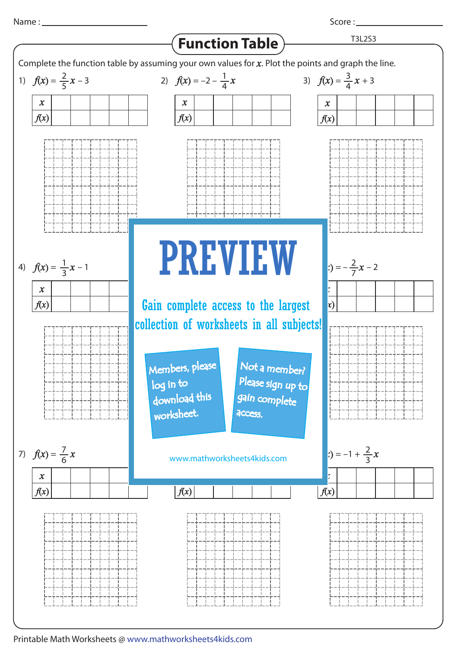

Score : \_\_\_\_\_\_\_\_